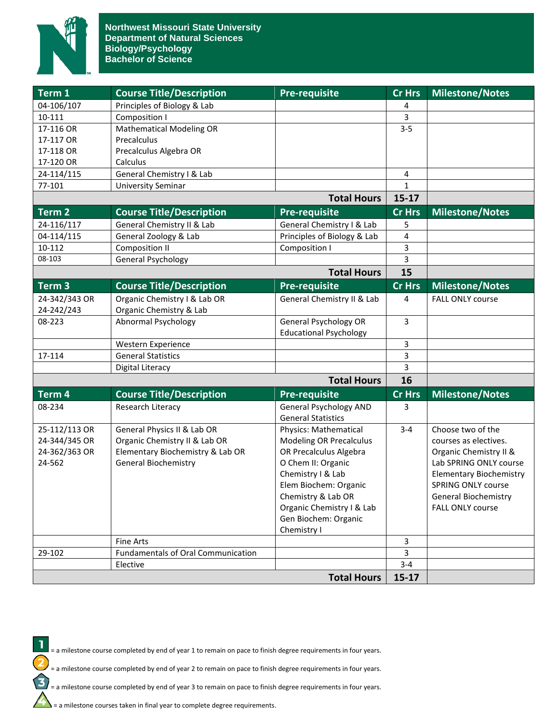

| Term 1             | <b>Course Title/Description</b>           | <b>Pre-requisite</b>           | <b>Cr Hrs</b>        | <b>Milestone/Notes</b>         |
|--------------------|-------------------------------------------|--------------------------------|----------------------|--------------------------------|
| 04-106/107         | Principles of Biology & Lab               |                                | 4                    |                                |
| 10-111             | Composition I                             |                                | 3                    |                                |
| 17-116 OR          | <b>Mathematical Modeling OR</b>           |                                | $3 - 5$              |                                |
| 17-117 OR          | Precalculus                               |                                |                      |                                |
| 17-118 OR          | Precalculus Algebra OR                    |                                |                      |                                |
| 17-120 OR          | Calculus                                  |                                |                      |                                |
| 24-114/115         | General Chemistry I & Lab                 |                                | 4                    |                                |
| 77-101             | <b>University Seminar</b>                 |                                | $\mathbf{1}$         |                                |
| <b>Total Hours</b> |                                           | $15-17$                        |                      |                                |
| Term 2             | <b>Course Title/Description</b>           | <b>Pre-requisite</b>           | <b>Cr Hrs</b>        | <b>Milestone/Notes</b>         |
| 24-116/117         | General Chemistry II & Lab                | General Chemistry I & Lab      | 5                    |                                |
| 04-114/115         | General Zoology & Lab                     | Principles of Biology & Lab    | 4                    |                                |
| 10-112             | <b>Composition II</b>                     | Composition I                  | 3                    |                                |
| 08-103             | <b>General Psychology</b>                 |                                | 3                    |                                |
|                    |                                           | <b>Total Hours</b>             | 15                   |                                |
| $Term$ 3           | <b>Course Title/Description</b>           | <b>Pre-requisite</b>           | <b>Cr Hrs</b>        | <b>Milestone/Notes</b>         |
| 24-342/343 OR      | Organic Chemistry I & Lab OR              | General Chemistry II & Lab     | 4                    | <b>FALL ONLY course</b>        |
| 24-242/243         | Organic Chemistry & Lab                   |                                |                      |                                |
| 08-223             | Abnormal Psychology                       | General Psychology OR          | 3                    |                                |
|                    |                                           | <b>Educational Psychology</b>  |                      |                                |
|                    | Western Experience                        |                                | 3                    |                                |
| 17-114             | <b>General Statistics</b>                 |                                | 3                    |                                |
|                    | Digital Literacy                          |                                | 3                    |                                |
|                    |                                           | <b>Total Hours</b>             | 16                   |                                |
| Term 4             | <b>Course Title/Description</b>           | <b>Pre-requisite</b>           | <b>Cr Hrs</b>        | <b>Milestone/Notes</b>         |
| 08-234             | Research Literacy                         | <b>General Psychology AND</b>  | 3                    |                                |
|                    |                                           | <b>General Statistics</b>      |                      |                                |
| 25-112/113 OR      | General Physics II & Lab OR               | Physics: Mathematical          | $3 - 4$              | Choose two of the              |
| 24-344/345 OR      | Organic Chemistry II & Lab OR             | <b>Modeling OR Precalculus</b> |                      | courses as electives.          |
| 24-362/363 OR      | Elementary Biochemistry & Lab OR          | OR Precalculus Algebra         |                      | Organic Chemistry II &         |
| 24-562             | <b>General Biochemistry</b>               | O Chem II: Organic             |                      | Lab SPRING ONLY course         |
|                    |                                           | Chemistry I & Lab              |                      | <b>Elementary Biochemistry</b> |
|                    |                                           | Elem Biochem: Organic          |                      | <b>SPRING ONLY course</b>      |
|                    |                                           | Chemistry & Lab OR             |                      | General Biochemistry           |
|                    |                                           | Organic Chemistry I & Lab      |                      | <b>FALL ONLY course</b>        |
|                    |                                           | Gen Biochem: Organic           |                      |                                |
|                    |                                           | Chemistry I                    |                      |                                |
|                    | Fine Arts                                 |                                | 3                    |                                |
| 29-102             | <b>Fundamentals of Oral Communication</b> |                                | 3                    |                                |
|                    | Elective                                  |                                | $3 - 4$<br>$15 - 17$ |                                |
| <b>Total Hours</b> |                                           |                                |                      |                                |



= a milestone course completed by end of year 1 to remain on pace to finish degree requirements in four years.

= a milestone course completed by end of year 2 to remain on pace to finish degree requirements in four years.

= a milestone course completed by end of year 3 to remain on pace to finish degree requirements in four years.

 $\sum$  = a milestone courses taken in final year to complete degree requirements.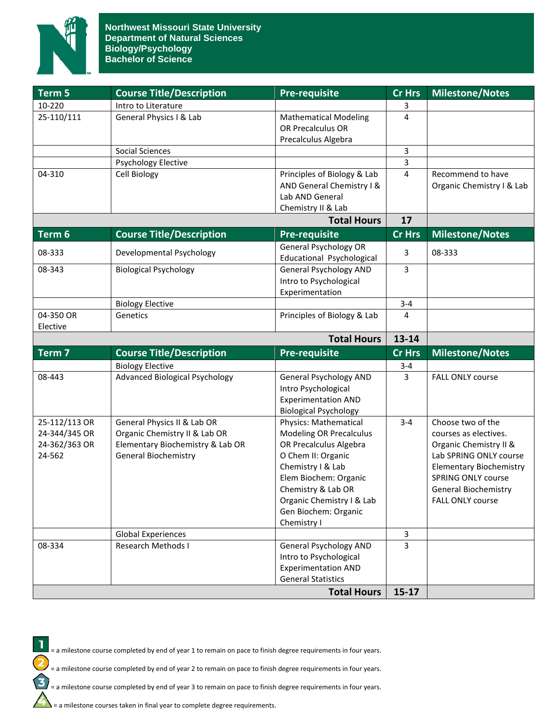

| Term 5        | <b>Course Title/Description</b>                        | <b>Pre-requisite</b>                                      | <b>Cr Hrs</b>  | <b>Milestone/Notes</b>         |
|---------------|--------------------------------------------------------|-----------------------------------------------------------|----------------|--------------------------------|
| 10-220        | Intro to Literature                                    |                                                           |                |                                |
| 25-110/111    | General Physics I & Lab                                | <b>Mathematical Modeling</b>                              | 4              |                                |
|               |                                                        | OR Precalculus OR                                         |                |                                |
|               |                                                        | Precalculus Algebra                                       |                |                                |
|               | Social Sciences                                        |                                                           | 3              |                                |
|               | <b>Psychology Elective</b>                             |                                                           | 3              |                                |
| 04-310        | Cell Biology                                           | Principles of Biology & Lab                               | 4              | Recommend to have              |
|               |                                                        | AND General Chemistry I &                                 |                | Organic Chemistry I & Lab      |
|               |                                                        | Lab AND General                                           |                |                                |
|               |                                                        | Chemistry II & Lab                                        |                |                                |
|               |                                                        | <b>Total Hours</b>                                        | 17             |                                |
| Term 6        | <b>Course Title/Description</b>                        | <b>Pre-requisite</b>                                      | <b>Cr Hrs</b>  | <b>Milestone/Notes</b>         |
| 08-333        | Developmental Psychology                               | <b>General Psychology OR</b><br>Educational Psychological | 3              | 08-333                         |
| 08-343        | <b>Biological Psychology</b>                           | <b>General Psychology AND</b>                             | 3              |                                |
|               |                                                        | Intro to Psychological                                    |                |                                |
|               |                                                        | Experimentation                                           |                |                                |
|               | <b>Biology Elective</b>                                |                                                           | $3 - 4$        |                                |
| 04-350 OR     | Genetics                                               | Principles of Biology & Lab                               | 4              |                                |
| Elective      |                                                        |                                                           |                |                                |
|               |                                                        | <b>Total Hours</b>                                        | $13 - 14$      |                                |
| Term 7        | <b>Course Title/Description</b>                        | <b>Pre-requisite</b>                                      | <b>Cr Hrs</b>  | <b>Milestone/Notes</b>         |
|               | <b>Biology Elective</b>                                |                                                           | $3 - 4$        |                                |
| 08-443        | <b>Advanced Biological Psychology</b>                  | <b>General Psychology AND</b>                             | $\overline{3}$ | FALL ONLY course               |
|               |                                                        | Intro Psychological                                       |                |                                |
|               |                                                        | <b>Experimentation AND</b>                                |                |                                |
|               |                                                        | <b>Biological Psychology</b>                              |                |                                |
| 25-112/113 OR | General Physics II & Lab OR                            | <b>Physics: Mathematical</b>                              | $3 - 4$        | Choose two of the              |
| 24-344/345 OR | Organic Chemistry II & Lab OR                          | <b>Modeling OR Precalculus</b>                            |                | courses as electives.          |
| 24-362/363 OR | Elementary Biochemistry & Lab OR                       | OR Precalculus Algebra                                    |                | Organic Chemistry II &         |
| 24-562        | <b>General Biochemistry</b>                            | O Chem II: Organic                                        |                | Lab SPRING ONLY course         |
|               |                                                        | Chemistry I & Lab                                         |                | <b>Elementary Biochemistry</b> |
|               |                                                        | Elem Biochem: Organic                                     |                | <b>SPRING ONLY course</b>      |
|               |                                                        | Chemistry & Lab OR                                        |                | <b>General Biochemistry</b>    |
|               |                                                        | Organic Chemistry I & Lab                                 |                | <b>FALL ONLY course</b>        |
|               |                                                        | Gen Biochem: Organic                                      |                |                                |
|               |                                                        | Chemistry I                                               |                |                                |
| 08-334        | <b>Global Experiences</b><br><b>Research Methods I</b> | <b>General Psychology AND</b>                             | 3<br>3         |                                |
|               |                                                        | Intro to Psychological                                    |                |                                |
|               |                                                        | <b>Experimentation AND</b>                                |                |                                |
|               |                                                        | <b>General Statistics</b>                                 |                |                                |
|               |                                                        |                                                           |                |                                |
|               |                                                        | <b>Total Hours</b>                                        | $15-17$        |                                |



= a milestone course completed by end of year 1 to remain on pace to finish degree requirements in four years.

= a milestone course completed by end of year 2 to remain on pace to finish degree requirements in four years.

= a milestone course completed by end of year 3 to remain on pace to finish degree requirements in four years.

 $\sum$  = a milestone courses taken in final year to complete degree requirements.